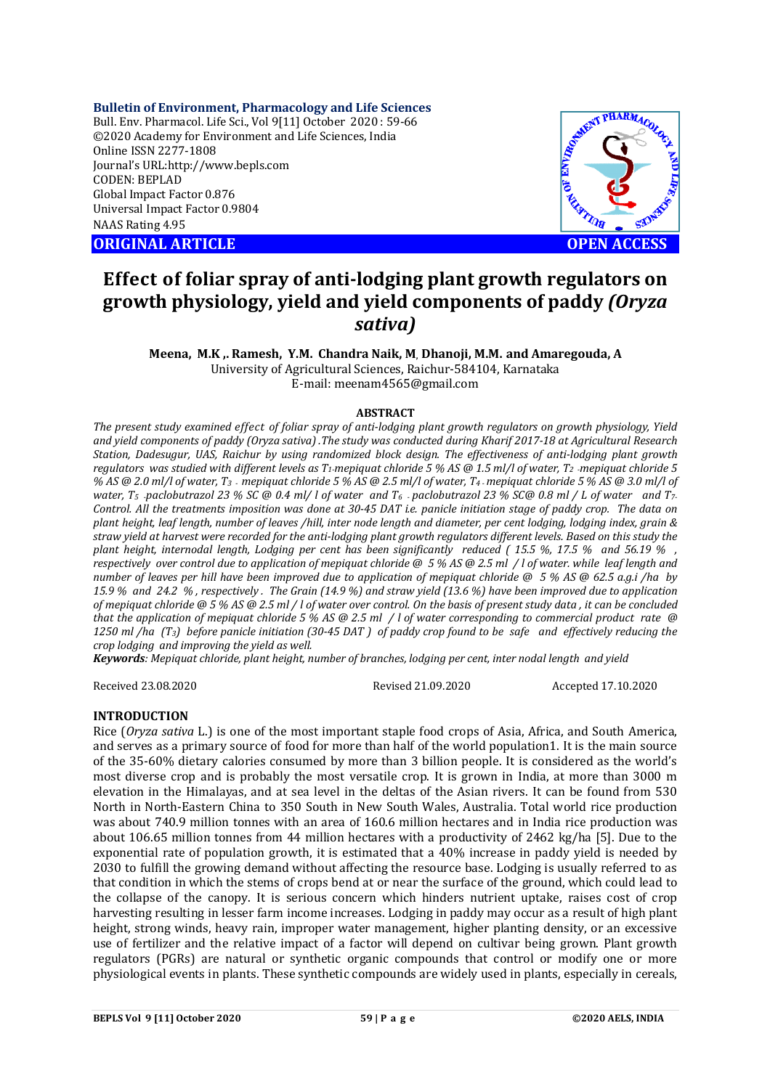**Bulletin of Environment, Pharmacology and Life Sciences** Bull. Env. Pharmacol. Life Sci., Vol 9[11] October 2020 : 59-66 ©2020 Academy for Environment and Life Sciences, India Online ISSN 2277-1808 Journal's URL:<http://www.bepls.com> CODEN: BEPLAD Global Impact Factor 0.876 Universal Impact Factor 0.9804 NAAS Rating 4.95

**ORIGINAL ARTICLE OPEN ACCESS**



# **Effect of foliar spray of anti-lodging plant growth regulators on growth physiology, yield and yield components of paddy** *(Oryza sativa)*

**Meena, M.K ,. Ramesh, Y.M. Chandra Naik, M, Dhanoji, M.M. and Amaregouda, A** University of Agricultural Sciences, Raichur-584104, Karnataka E-mail: [meenam4565@gmail.com](mailto:meenam4565@gmail.com)

### **ABSTRACT**

*The present study examined effect of foliar spray of anti-lodging plant growth regulators on growth physiology, Yield and yield components of paddy (Oryza sativa) .The study was conducted during Kharif 2017-18 at Agricultural Research Station, Dadesugur, UAS, Raichur by using randomized block design. The effectiveness of anti-lodging plant growth regulators was studied with different levels as T1-mepiquat chloride 5 % AS @ 1.5 ml/l of water, T2 -mepiquat chloride 5 % AS @ 2.0 ml/l of water, T<sup>3</sup> - mepiquat chloride 5 % AS @ 2.5 ml/l of water, T<sup>4</sup> -mepiquat chloride 5 % AS @ 3.0 ml/l of water, T5 -paclobutrazol 23 % SC @ 0.4 ml/ l of water and T6 - paclobutrazol 23 % SC@ 0.8 ml / L of water and T7- Control. All the treatments imposition was done at 30-45 DAT i.e. panicle initiation stage of paddy crop. The data on plant height, leaf length, number of leaves /hill, inter node length and diameter, per cent lodging, lodging index, grain & straw yield at harvest were recorded for the anti-lodging plant growth regulators different levels. Based on this study the plant height, internodal length, Lodging per cent has been significantly reduced ( 15.5 %, 17.5 % and 56.19 % , respectively over control due to application of mepiquat chloride @ 5 % AS @ 2.5 ml / l of water. while leaf length and number of leaves per hill have been improved due to application of mepiquat chloride @ 5 % AS @ 62.5 a.g.i /ha by 15.9 % and 24.2 % , respectively . The Grain (14.9 %) and straw yield (13.6 %) have been improved due to application of mepiquat chloride @ 5 % AS @ 2.5 ml / l of water over control. On the basis of present study data , it can be concluded that the application of mepiquat chloride 5 % AS @ 2.5 ml / l of water corresponding to commercial product rate @ 1250 ml /ha (T3) before panicle initiation (30-45 DAT ) of paddy crop found to be safe and effectively reducing the crop lodging and improving the yield as well.*

*Keywords: Mepiquat chloride, plant height, number of branches, lodging per cent, inter nodal length and yield*

Received 23.08.2020 Revised 21.09.2020 Accepted 17.10.2020

### **INTRODUCTION**

Rice (*Oryza sativa* L.) is one of the most important staple food crops of Asia, Africa, and South America, and serves as a primary source of food for more than half of the world population1. It is the main source of the 35-60% dietary calories consumed by more than 3 billion people. It is considered as the world's most diverse crop and is probably the most versatile crop. It is grown in India, at more than 3000 m elevation in the Himalayas, and at sea level in the deltas of the Asian rivers. It can be found from 530 North in North-Eastern China to 350 South in New South Wales, Australia. Total world rice production was about 740.9 million tonnes with an area of 160.6 million hectares and in India rice production was about 106.65 million tonnes from 44 million hectares with a productivity of 2462 kg/ha [5]. Due to the exponential rate of population growth, it is estimated that a 40% increase in paddy yield is needed by 2030 to fulfill the growing demand without affecting the resource base. Lodging is usually referred to as that condition in which the stems of crops bend at or near the surface of the ground, which could lead to the collapse of the canopy. It is serious concern which hinders nutrient uptake, raises cost of crop harvesting resulting in lesser farm income increases. Lodging in paddy may occur as a result of high plant height, strong winds, heavy rain, improper water management, higher planting density, or an excessive use of fertilizer and the relative impact of a factor will depend on cultivar being grown. Plant growth regulators (PGRs) are natural or synthetic organic compounds that control or modify one or more physiological events in plants. These synthetic compounds are widely used in plants, especially in cereals,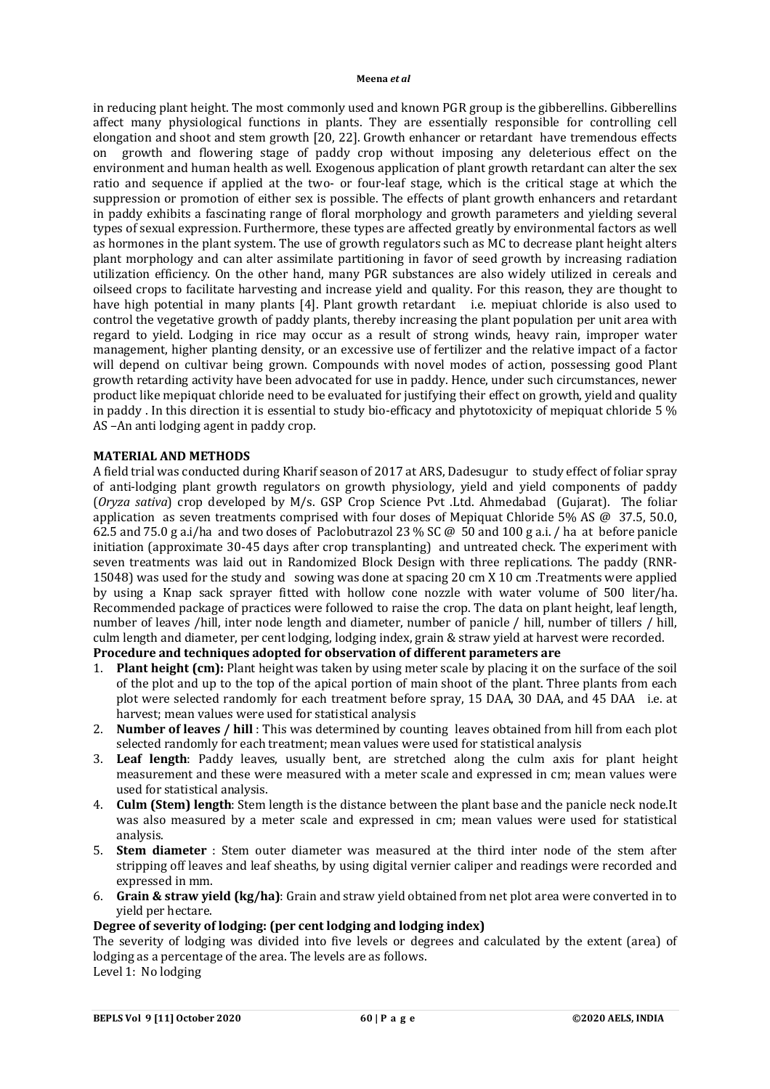in reducing plant height. The most commonly used and known PGR group is the gibberellins. Gibberellins affect many physiological functions in plants. They are essentially responsible for controlling cell elongation and shoot and stem growth [20, 22]. Growth enhancer or retardant have tremendous effects on growth and flowering stage of paddy crop without imposing any deleterious effect on the environment and human health as well. Exogenous application of plant growth retardant can alter the sex ratio and sequence if applied at the two- or four-leaf stage, which is the critical stage at which the suppression or promotion of either sex is possible. The effects of plant growth enhancers and retardant in paddy exhibits a fascinating range of floral morphology and growth parameters and yielding several types of sexual expression. Furthermore, these types are affected greatly by environmental factors as well as hormones in the plant system. The use of growth regulators such as MC to decrease plant height alters plant morphology and can alter assimilate partitioning in favor of seed growth by increasing radiation utilization efficiency. On the other hand, many PGR substances are also widely utilized in cereals and oilseed crops to facilitate harvesting and increase yield and quality. For this reason, they are thought to have high potential in many plants [4]. Plant growth retardant i.e. mepiuat chloride is also used to control the vegetative growth of paddy plants, thereby increasing the plant population per unit area with regard to yield. Lodging in rice may occur as a result of strong winds, heavy rain, improper water management, higher planting density, or an excessive use of fertilizer and the relative impact of a factor will depend on cultivar being grown. Compounds with novel modes of action, possessing good Plant growth retarding activity have been advocated for use in paddy. Hence, under such circumstances, newer product like mepiquat chloride need to be evaluated for justifying their effect on growth, yield and quality in paddy . In this direction it is essential to study bio-efficacy and phytotoxicity of mepiquat chloride 5 % AS –An anti lodging agent in paddy crop.

### **MATERIAL AND METHODS**

A field trial was conducted during Kharif season of 2017 at ARS, Dadesugur to study effect of foliar spray of anti-lodging plant growth regulators on growth physiology, yield and yield components of paddy (*Oryza sativa*) crop developed by M/s. GSP Crop Science Pvt .Ltd. Ahmedabad (Gujarat). The foliar application as seven treatments comprised with four doses of Mepiquat Chloride 5% AS @ 37.5, 50.0, 62.5 and 75.0 g a.i/ha and two doses of Paclobutrazol 23 % SC @ 50 and 100 g a.i. / ha at before panicle initiation (approximate 30-45 days after crop transplanting) and untreated check. The experiment with seven treatments was laid out in Randomized Block Design with three replications. The paddy (RNR-15048) was used for the study and sowing was done at spacing 20 cm X 10 cm .Treatments were applied by using a Knap sack sprayer fitted with hollow cone nozzle with water volume of 500 liter/ha. Recommended package of practices were followed to raise the crop. The data on plant height, leaf length, number of leaves /hill, inter node length and diameter, number of panicle / hill, number of tillers / hill, culm length and diameter, per cent lodging, lodging index, grain & straw yield at harvest were recorded.

# **Procedure and techniques adopted for observation of different parameters are**

- 1. **Plant height (cm):** Plant height was taken by using meter scale by placing it on the surface of the soil of the plot and up to the top of the apical portion of main shoot of the plant. Three plants from each plot were selected randomly for each treatment before spray, 15 DAA, 30 DAA, and 45 DAA i.e. at harvest; mean values were used for statistical analysis
- 2. **Number of leaves / hill** : This was determined by counting leaves obtained from hill from each plot selected randomly for each treatment; mean values were used for statistical analysis
- 3. **Leaf length**: Paddy leaves, usually bent, are stretched along the culm axis for plant height measurement and these were measured with a meter scale and expressed in cm; mean values were used for statistical analysis.
- 4. **Culm (Stem) length**: Stem length is the distance between the plant base and the panicle neck node.It was also measured by a meter scale and expressed in cm; mean values were used for statistical analysis.
- 5. **Stem diameter** : Stem outer diameter was measured at the third inter node of the stem after stripping off leaves and leaf sheaths, by using digital vernier caliper and readings were recorded and expressed in mm.
- 6. **Grain & straw yield (kg/ha)**: Grain and straw yield obtained from net plot area were converted in to yield per hectare.

# **Degree of severity of lodging: (per cent lodging and lodging index)**

The severity of lodging was divided into five levels or degrees and calculated by the extent (area) of lodging as a percentage of the area. The levels are as follows. Level 1: No lodging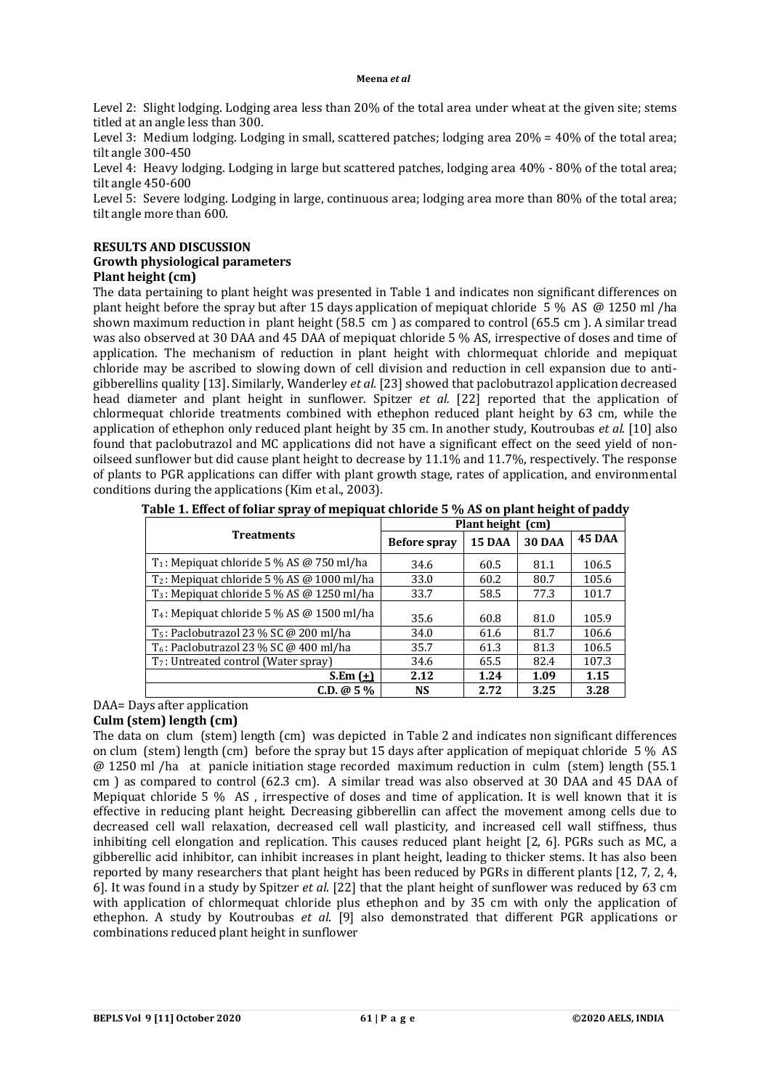Level 2: Slight lodging. Lodging area less than 20% of the total area under wheat at the given site; stems titled at an angle less than 300.

Level 3: Medium lodging. Lodging in small, scattered patches; lodging area 20% = 40% of the total area; tilt angle 300-450

Level 4: Heavy lodging. Lodging in large but scattered patches, lodging area 40% - 80% of the total area; tilt angle 450-600

Level 5: Severe lodging. Lodging in large, continuous area; lodging area more than 80% of the total area; tilt angle more than 600.

### **RESULTS AND DISCUSSION Growth physiological parameters Plant height (cm)**

The data pertaining to plant height was presented in Table 1 and indicates non significant differences on plant height before the spray but after 15 days application of mepiquat chloride 5 % AS @ 1250 ml /ha shown maximum reduction in plant height (58.5 cm ) as compared to control (65.5 cm ). A similar tread was also observed at 30 DAA and 45 DAA of mepiquat chloride 5 % AS, irrespective of doses and time of application. The mechanism of reduction in plant height with chlormequat chloride and mepiquat chloride may be ascribed to slowing down of cell division and reduction in cell expansion due to antigibberellins quality [13]. Similarly, Wanderley *et al.* [23] showed that paclobutrazol application decreased head diameter and plant height in sunflower. Spitzer *et al.* [22] reported that the application of chlormequat chloride treatments combined with ethephon reduced plant height by 63 cm, while the application of ethephon only reduced plant height by 35 cm. In another study, Koutroubas *et al*. [10] also found that paclobutrazol and MC applications did not have a significant effect on the seed yield of nonoilseed sunflower but did cause plant height to decrease by 11.1% and 11.7%, respectively. The response of plants to PGR applications can differ with plant growth stage, rates of application, and environmental conditions during the applications (Kim et al., 2003).

|                                                               | Plant height (cm)   |        |               |        |  |  |
|---------------------------------------------------------------|---------------------|--------|---------------|--------|--|--|
| <b>Treatments</b>                                             | <b>Before spray</b> | 15 DAA | <b>30 DAA</b> | 45 DAA |  |  |
| $T_1$ : Mepiquat chloride 5 % AS @ 750 ml/ha                  | 34.6                | 60.5   | 81.1          | 106.5  |  |  |
| $T_2$ : Mepiquat chloride 5 % AS @ 1000 ml/ha                 | 33.0                | 60.2   | 80.7          | 105.6  |  |  |
| T <sub>3</sub> : Mepiquat chloride 5 % AS @ 1250 ml/ha        | 33.7                | 58.5   | 77.3          | 101.7  |  |  |
| T <sub>4</sub> : Mepiquat chloride 5 % AS $\omega$ 1500 ml/ha | 35.6                | 60.8   | 81.0          | 105.9  |  |  |
| $T_5$ : Paclobutrazol 23 % SC @ 200 ml/ha                     | 34.0                | 61.6   | 81.7          | 106.6  |  |  |
| $T_6$ : Paclobutrazol 23 % SC @ 400 ml/ha                     | 35.7                | 61.3   | 81.3          | 106.5  |  |  |
| $T_7$ : Untreated control (Water spray)                       | 34.6                | 65.5   | 82.4          | 107.3  |  |  |
| S.Em $(\pm)$                                                  | 2.12                | 1.24   | 1.09          | 1.15   |  |  |
| $C.D. @ 5\%$                                                  | <b>NS</b>           | 2.72   | 3.25          | 3.28   |  |  |

**Table 1. Effect of foliar spray of mepiquat chloride 5 % AS on plant height of paddy**

# DAA= Days after application

# **Culm (stem) length (cm)**

The data on clum (stem) length (cm) was depicted in Table 2 and indicates non significant differences on clum (stem) length (cm) before the spray but 15 days after application of mepiquat chloride 5 % AS @ 1250 ml /ha at panicle initiation stage recorded maximum reduction in culm (stem) length (55.1 cm ) as compared to control (62.3 cm). A similar tread was also observed at 30 DAA and 45 DAA of Mepiquat chloride 5 % AS , irrespective of doses and time of application. It is well known that it is effective in reducing plant height. Decreasing gibberellin can affect the movement among cells due to decreased cell wall relaxation, decreased cell wall plasticity, and increased cell wall stiffness, thus inhibiting cell elongation and replication. This causes reduced plant height [2, 6]. PGRs such as MC, a gibberellic acid inhibitor, can inhibit increases in plant height, leading to thicker stems. It has also been reported by many researchers that plant height has been reduced by PGRs in different plants [12, 7, 2, 4, 6]. It was found in a study by Spitzer *et al*. [22] that the plant height of sunflower was reduced by 63 cm with application of chlormequat chloride plus ethephon and by 35 cm with only the application of ethephon. A study by Koutroubas *et al*. [9] also demonstrated that different PGR applications or combinations reduced plant height in sunflower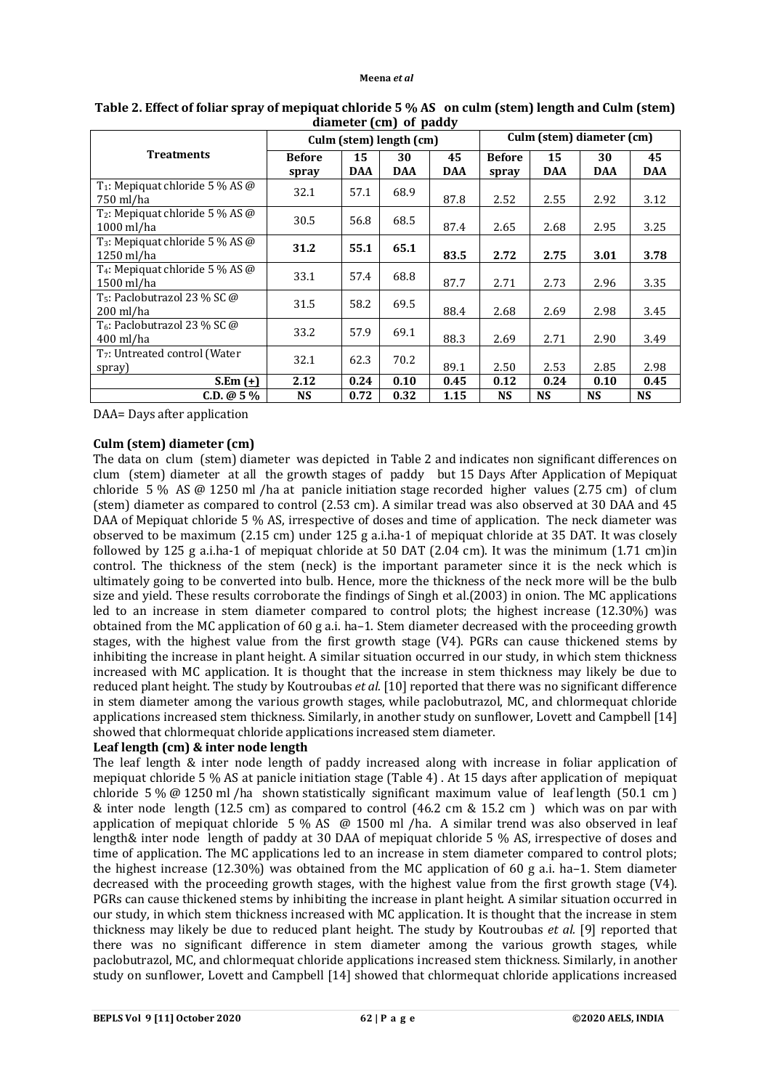|                                                                    | $\alpha$ $\alpha$ $\beta$ $\alpha$ $\beta$ $\beta$ $\alpha$ $\alpha$ $\beta$<br>Culm (stem) length (cm) |                  |                  |                  | Culm (stem) diameter (cm) |                  |                  |                  |
|--------------------------------------------------------------------|---------------------------------------------------------------------------------------------------------|------------------|------------------|------------------|---------------------------|------------------|------------------|------------------|
| <b>Treatments</b>                                                  | <b>Before</b><br>spray                                                                                  | 15<br><b>DAA</b> | 30<br><b>DAA</b> | 45<br><b>DAA</b> | <b>Before</b><br>spray    | 15<br><b>DAA</b> | 30<br><b>DAA</b> | 45<br><b>DAA</b> |
| T <sub>1</sub> : Mepiquat chloride 5 % AS $\omega$<br>750 ml/ha    | 32.1                                                                                                    | 57.1             | 68.9             | 87.8             | 2.52                      | 2.55             | 2.92             | 3.12             |
| T <sub>2</sub> : Mepiquat chloride 5 % AS $\omega$<br>$1000$ ml/ha | 30.5                                                                                                    | 56.8             | 68.5             | 87.4             | 2.65                      | 2.68             | 2.95             | 3.25             |
| T <sub>3</sub> : Mepiquat chloride 5 % AS @<br>1250 ml/ha          | 31.2                                                                                                    | 55.1             | 65.1             | 83.5             | 2.72                      | 2.75             | 3.01             | 3.78             |
| T <sub>4</sub> : Mepiquat chloride 5 % AS @<br>1500 ml/ha          | 33.1                                                                                                    | 57.4             | 68.8             | 87.7             | 2.71                      | 2.73             | 2.96             | 3.35             |
| T <sub>5</sub> : Paclobutrazol 23 % SC $\omega$<br>200 ml/ha       | 31.5                                                                                                    | 58.2             | 69.5             | 88.4             | 2.68                      | 2.69             | 2.98             | 3.45             |
| T <sub>6</sub> : Paclobutrazol 23 % SC @<br>400 ml/ha              | 33.2                                                                                                    | 57.9             | 69.1             | 88.3             | 2.69                      | 2.71             | 2.90             | 3.49             |
| T <sub>7</sub> : Untreated control (Water<br>spray)                | 32.1                                                                                                    | 62.3             | 70.2             | 89.1             | 2.50                      | 2.53             | 2.85             | 2.98             |
| S.Em $(\pm)$                                                       | 2.12                                                                                                    | 0.24             | 0.10             | 0.45             | 0.12                      | 0.24             | 0.10             | 0.45             |
| $C.D. @ 5\%$                                                       | NS                                                                                                      | 0.72             | 0.32             | 1.15             | <b>NS</b>                 | NS               | <b>NS</b>        | <b>NS</b>        |

**Table 2. Effect of foliar spray of mepiquat chloride 5 % AS on culm (stem) length and Culm (stem) diameter (cm) of paddy**

DAA= Days after application

# **Culm (stem) diameter (cm)**

The data on clum (stem) diameter was depicted in Table 2 and indicates non significant differences on clum (stem) diameter at all the growth stages of paddy but 15 Days After Application of Mepiquat chloride 5 % AS @ 1250 ml /ha at panicle initiation stage recorded higher values (2.75 cm) of clum (stem) diameter as compared to control (2.53 cm). A similar tread was also observed at 30 DAA and 45 DAA of Mepiquat chloride 5 % AS, irrespective of doses and time of application. The neck diameter was observed to be maximum (2.15 cm) under 125 g a.i.ha-1 of mepiquat chloride at 35 DAT. It was closely followed by 125 g a.i.ha-1 of mepiquat chloride at 50 DAT (2.04 cm). It was the minimum (1.71 cm)in control. The thickness of the stem (neck) is the important parameter since it is the neck which is ultimately going to be converted into bulb. Hence, more the thickness of the neck more will be the bulb size and yield. These results corroborate the findings of Singh et al.(2003) in onion. The MC applications led to an increase in stem diameter compared to control plots; the highest increase (12.30%) was obtained from the MC application of 60 g a.i. ha–1. Stem diameter decreased with the proceeding growth stages, with the highest value from the first growth stage (V4). PGRs can cause thickened stems by inhibiting the increase in plant height. A similar situation occurred in our study, in which stem thickness increased with MC application. It is thought that the increase in stem thickness may likely be due to reduced plant height. The study by Koutroubas *et al.* [10] reported that there was no significant difference in stem diameter among the various growth stages, while paclobutrazol, MC, and chlormequat chloride applications increased stem thickness. Similarly, in another study on sunflower, Lovett and Campbell [14] showed that chlormequat chloride applications increased stem diameter.

# **Leaf length (cm) & inter node length**

The leaf length & inter node length of paddy increased along with increase in foliar application of mepiquat chloride 5 % AS at panicle initiation stage (Table 4) . At 15 days after application of mepiquat chloride 5 % @ 1250 ml /ha shown statistically significant maximum value of leaf length (50.1 cm ) & inter node length (12.5 cm) as compared to control (46.2 cm & 15.2 cm) which was on par with application of mepiquat chloride 5 % AS @ 1500 ml /ha. A similar trend was also observed in leaf length& inter node length of paddy at 30 DAA of mepiquat chloride 5 % AS, irrespective of doses and time of application. The MC applications led to an increase in stem diameter compared to control plots; the highest increase (12.30%) was obtained from the MC application of 60 g a.i. ha–1. Stem diameter decreased with the proceeding growth stages, with the highest value from the first growth stage (V4). PGRs can cause thickened stems by inhibiting the increase in plant height. A similar situation occurred in our study, in which stem thickness increased with MC application. It is thought that the increase in stem thickness may likely be due to reduced plant height. The study by Koutroubas *et al.* [9] reported that there was no significant difference in stem diameter among the various growth stages, while paclobutrazol, MC, and chlormequat chloride applications increased stem thickness. Similarly, in another study on sunflower, Lovett and Campbell [14] showed that chlormequat chloride applications increased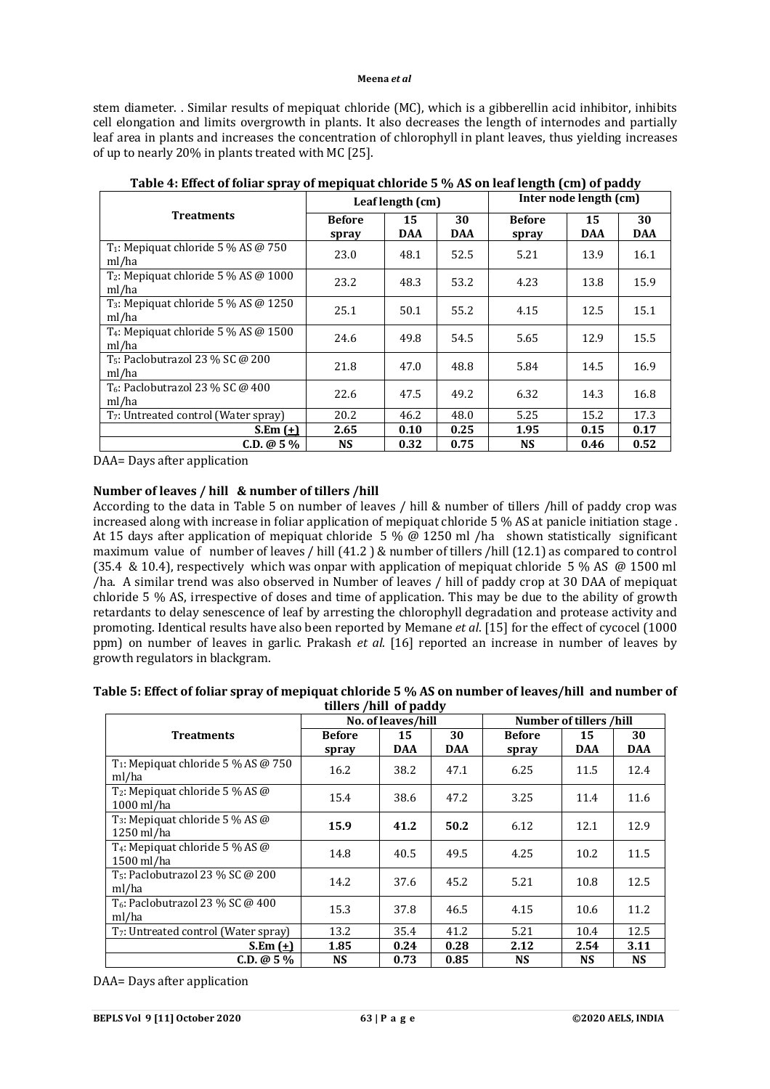stem diameter. . Similar results of mepiquat chloride (MC), which is a gibberellin acid inhibitor, inhibits cell elongation and limits overgrowth in plants. It also decreases the length of internodes and partially leaf area in plants and increases the concentration of chlorophyll in plant leaves, thus yielding increases of up to nearly 20% in plants treated with MC [25].

|                                                              |                        | Leaf length (cm) |                  | Inter node length (cm) |                  |                  |  |
|--------------------------------------------------------------|------------------------|------------------|------------------|------------------------|------------------|------------------|--|
| <b>Treatments</b>                                            | <b>Before</b><br>spray | 15<br><b>DAA</b> | 30<br><b>DAA</b> | <b>Before</b><br>spray | 15<br><b>DAA</b> | 30<br><b>DAA</b> |  |
| $T_1$ : Mepiquat chloride 5 % AS @ 750<br>ml/ha              | 23.0                   | 48.1             | 52.5             | 5.21                   | 13.9             | 16.1             |  |
| T <sub>2</sub> : Mepiquat chloride 5 % AS $@$ 1000<br>ml/ha  | 23.2                   | 48.3             | 53.2             | 4.23                   | 13.8             | 15.9             |  |
| T <sub>3</sub> : Mepiquat chloride $5\%$ AS @ 1250<br>ml/ha  | 25.1                   | 50.1             | 55.2             | 4.15                   | 12.5             | 15.1             |  |
| $T_4$ : Mepiquat chloride 5 % AS @ 1500<br>ml/ha             | 24.6                   | 49.8             | 54.5             | 5.65                   | 12.9             | 15.5             |  |
| T <sub>5</sub> : Paclobutrazol 23 % SC $\omega$ 200<br>ml/ha | 21.8                   | 47.0             | 48.8             | 5.84                   | 14.5             | 16.9             |  |
| $T_6$ : Paclobutrazol 23 % SC @ 400<br>ml/ha                 | 22.6                   | 47.5             | 49.2             | 6.32                   | 14.3             | 16.8             |  |
| T <sub>7</sub> : Untreated control (Water spray)             | 20.2                   | 46.2             | 48.0             | 5.25                   | 15.2             | 17.3             |  |
| S.Em $(+)$                                                   | 2.65                   | 0.10             | 0.25             | 1.95                   | 0.15             | 0.17             |  |
| $C.D. @ 5\%$                                                 | <b>NS</b>              | 0.32             | 0.75             | <b>NS</b>              | 0.46             | 0.52             |  |

**Table 4: Effect of foliar spray of mepiquat chloride 5 % AS on leaf length (cm) of paddy**

DAA= Days after application

# **Number of leaves / hill & number of tillers /hill**

According to the data in Table 5 on number of leaves / hill & number of tillers /hill of paddy crop was increased along with increase in foliar application of mepiquat chloride 5 % AS at panicle initiation stage . At 15 days after application of mepiquat chloride 5 % @ 1250 ml /ha shown statistically significant maximum value of number of leaves / hill (41.2 ) & number of tillers /hill (12.1) as compared to control (35.4 & 10.4), respectively which was onpar with application of mepiquat chloride 5 % AS @ 1500 ml /ha. A similar trend was also observed in Number of leaves / hill of paddy crop at 30 DAA of mepiquat chloride 5 % AS, irrespective of doses and time of application. This may be due to the ability of growth retardants to delay senescence of leaf by arresting the chlorophyll degradation and protease activity and promoting. Identical results have also been reported by Memane *et al*. [15] for the effect of cycocel (1000 ppm) on number of leaves in garlic. Prakash *et al*. [16] reported an increase in number of leaves by growth regulators in blackgram.

| Table 5: Effect of foliar spray of mepiquat chloride 5 % AS on number of leaves/hill and number of |  |
|----------------------------------------------------------------------------------------------------|--|
| tillers /hill of paddy                                                                             |  |

|                                                                    | No. of leaves/hill     |                  |                  | Number of tillers /hill |                  |                  |  |
|--------------------------------------------------------------------|------------------------|------------------|------------------|-------------------------|------------------|------------------|--|
| <b>Treatments</b>                                                  | <b>Before</b><br>spray | 15<br><b>DAA</b> | 30<br><b>DAA</b> | <b>Before</b><br>spray  | 15<br><b>DAA</b> | 30<br><b>DAA</b> |  |
| T <sub>1</sub> : Mepiquat chloride 5 % AS $@$ 750<br>ml/ha         | 16.2                   | 38.2             | 47.1             | 6.25                    | 11.5             | 12.4             |  |
| T <sub>2</sub> : Mepiquat chloride 5 % AS $\omega$<br>$1000$ ml/ha | 15.4                   | 38.6             | 47.2             | 3.25                    | 11.4             | 11.6             |  |
| T <sub>3</sub> : Mepiquat chloride 5 % AS $\omega$<br>$1250$ ml/ha | 15.9                   | 41.2             | 50.2             | 6.12                    | 12.1             | 12.9             |  |
| T <sub>4</sub> : Mepiquat chloride 5 % AS $\omega$<br>1500 ml/ha   | 14.8                   | 40.5             | 49.5             | 4.25                    | 10.2             | 11.5             |  |
| T <sub>5</sub> : Paclobutrazol 23 % SC @ 200<br>ml/ha              | 14.2                   | 37.6             | 45.2             | 5.21                    | 10.8             | 12.5             |  |
| T <sub>6</sub> : Paclobutrazol 23 % SC @ 400<br>ml/ha              | 15.3                   | 37.8             | 46.5             | 4.15                    | 10.6             | 11.2             |  |
| T <sub>7</sub> : Untreated control (Water spray)                   | 13.2                   | 35.4             | 41.2             | 5.21                    | 10.4             | 12.5             |  |
| S.Em $(\pm)$                                                       | 1.85                   | 0.24             | 0.28             | 2.12                    | 2.54             | 3.11             |  |
| $C.D. @ 5\%$                                                       | <b>NS</b>              | 0.73             | 0.85             | <b>NS</b>               | <b>NS</b>        | <b>NS</b>        |  |

DAA= Days after application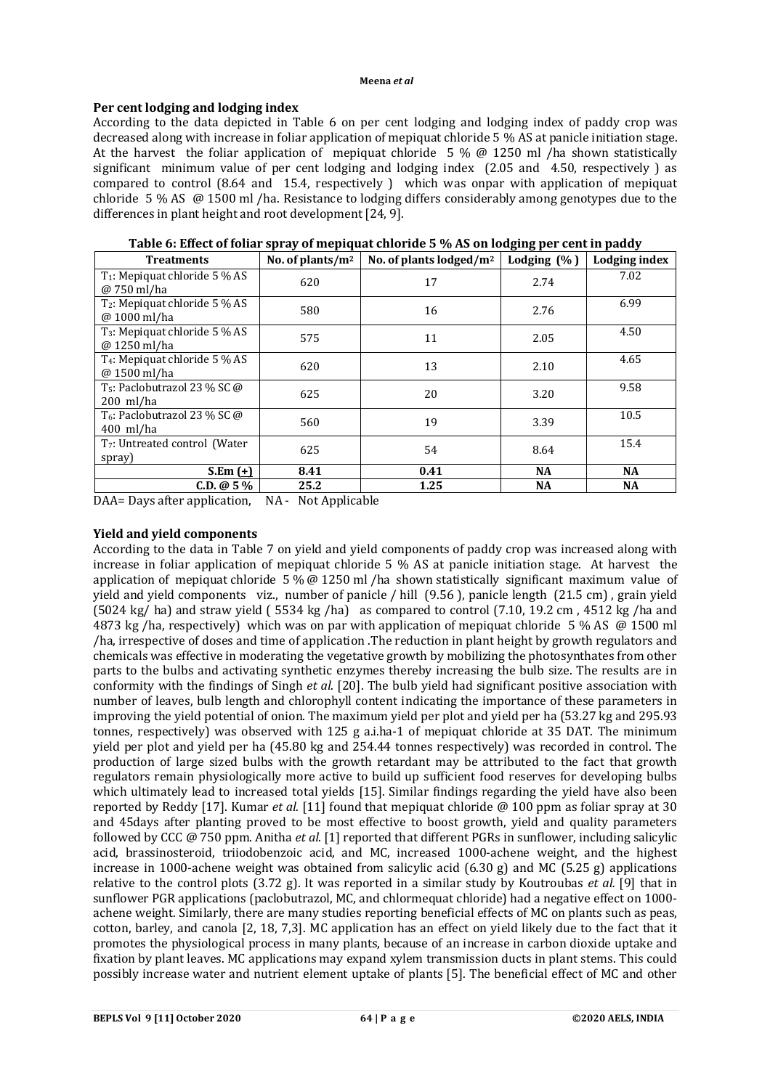# **Per cent lodging and lodging index**

According to the data depicted in Table 6 on per cent lodging and lodging index of paddy crop was decreased along with increase in foliar application of mepiquat chloride 5 % AS at panicle initiation stage. At the harvest the foliar application of mepiquat chloride 5 %  $\omega$  1250 ml /ha shown statistically significant minimum value of per cent lodging and lodging index (2.05 and 4.50, respectively ) as compared to control (8.64 and 15.4, respectively ) which was onpar with application of mepiquat chloride 5 % AS @ 1500 ml /ha. Resistance to lodging differs considerably among genotypes due to the differences in plant height and root development [24, 9].

| <b>Treatments</b>                                         | No. of plants/ $m2$ | No. of plants lodged/m <sup>2</sup> | Lodging $(\% )$ | <b>Lodging index</b> |
|-----------------------------------------------------------|---------------------|-------------------------------------|-----------------|----------------------|
| $T_1$ : Mepiquat chloride 5 % AS<br>@ 750 ml/ha           | 620                 | 17                                  | 2.74            | 7.02                 |
| $T_2$ : Mepiquat chloride 5 % AS<br>@ 1000 ml/ha          | 580                 | 16                                  | 2.76            | 6.99                 |
| $T_3$ : Mepiquat chloride 5 % AS<br>@ 1250 ml/ha          | 575                 | 11                                  | 2.05            | 4.50                 |
| T <sub>4</sub> : Mepiquat chloride 5 % AS<br>@ 1500 ml/ha | 620                 | 13                                  | 2.10            | 4.65                 |
| $T_5$ : Paclobutrazol 23 % SC @<br>$200$ ml/ha            | 625                 | 20                                  | 3.20            | 9.58                 |
| T <sub>6</sub> : Paclobutrazol 23 % SC @<br>$400$ ml/ha   | 560                 | 19                                  | 3.39            | 10.5                 |
| T <sub>7</sub> : Untreated control (Water<br>spray)       | 625                 | 54                                  | 8.64            | 15.4                 |
| S.Em $(+)$                                                | 8.41                | 0.41                                | <b>NA</b>       | <b>NA</b>            |
| $C.D. @ 5\%$                                              | 25.2                | 1.25                                | NA              | <b>NA</b>            |

**Table 6: Effect of foliar spray of mepiquat chloride 5 % AS on lodging per cent in paddy**

DAA= Days after application, NA - Not Applicable

# **Yield and yield components**

According to the data in Table 7 on yield and yield components of paddy crop was increased along with increase in foliar application of mepiquat chloride 5 % AS at panicle initiation stage. At harvest the application of mepiquat chloride 5 %  $\omega$  1250 ml /ha shown statistically significant maximum value of yield and yield components viz., number of panicle / hill (9.56 ), panicle length (21.5 cm) , grain yield  $(5024 \text{ kg/ha})$  and straw yield  $(5534 \text{ kg/ha})$  as compared to control  $(7.10, 19.2 \text{ cm}$ ,  $4512 \text{ kg/ha}$  and 4873 kg /ha, respectively) which was on par with application of mepiquat chloride 5 % AS @ 1500 ml /ha, irrespective of doses and time of application .The reduction in plant height by growth regulators and chemicals was effective in moderating the vegetative growth by mobilizing the photosynthates from other parts to the bulbs and activating synthetic enzymes thereby increasing the bulb size. The results are in conformity with the findings of Singh *et al*. [20]. The bulb yield had significant positive association with number of leaves, bulb length and chlorophyll content indicating the importance of these parameters in improving the yield potential of onion. The maximum yield per plot and yield per ha (53.27 kg and 295.93 tonnes, respectively) was observed with 125 g a.i.ha-1 of mepiquat chloride at 35 DAT. The minimum yield per plot and yield per ha (45.80 kg and 254.44 tonnes respectively) was recorded in control. The production of large sized bulbs with the growth retardant may be attributed to the fact that growth regulators remain physiologically more active to build up sufficient food reserves for developing bulbs which ultimately lead to increased total yields [15]. Similar findings regarding the yield have also been reported by Reddy [17]. Kumar *et al.* [11] found that mepiquat chloride @ 100 ppm as foliar spray at 30 and 45days after planting proved to be most effective to boost growth, yield and quality parameters followed by CCC @ 750 ppm. Anitha *et al*. [1] reported that different PGRs in sunflower, including salicylic acid, brassinosteroid, triiodobenzoic acid, and MC, increased 1000-achene weight, and the highest increase in 1000-achene weight was obtained from salicylic acid (6.30 g) and MC (5.25 g) applications relative to the control plots (3.72 g). It was reported in a similar study by Koutroubas *et al.* [9] that in sunflower PGR applications (paclobutrazol, MC, and chlormequat chloride) had a negative effect on 1000 achene weight. Similarly, there are many studies reporting beneficial effects of MC on plants such as peas, cotton, barley, and canola [2, 18, 7,3]. MC application has an effect on yield likely due to the fact that it promotes the physiological process in many plants, because of an increase in carbon dioxide uptake and fixation by plant leaves. MC applications may expand xylem transmission ducts in plant stems. This could possibly increase water and nutrient element uptake of plants [5]. The beneficial effect of MC and other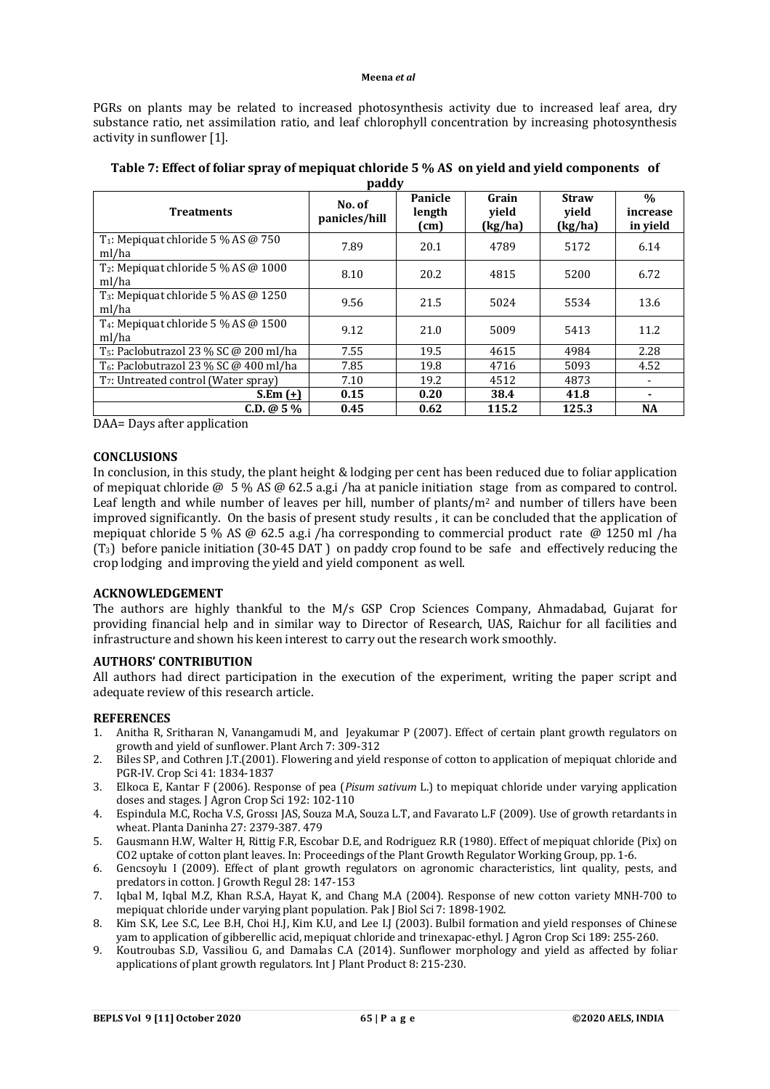PGRs on plants may be related to increased photosynthesis activity due to increased leaf area, dry substance ratio, net assimilation ratio, and leaf chlorophyll concentration by increasing photosynthesis activity in sunflower [1].

| <b>Treatments</b>                                                | No. of<br>panicles/hill | Panicle<br>length<br>(cm) | Grain<br>vield<br>(kg/ha) | <b>Straw</b><br>vield<br>(kg/ha) | $\frac{0}{0}$<br>increase<br>in yield |
|------------------------------------------------------------------|-------------------------|---------------------------|---------------------------|----------------------------------|---------------------------------------|
| T <sub>1</sub> : Mepiquat chloride 5 % AS $@$ 750<br>ml/ha       | 7.89                    | 20.1                      | 4789                      | 5172                             | 6.14                                  |
| $T_2$ : Mepiquat chloride 5 % AS @ 1000<br>ml/ha                 | 8.10                    | 20.2                      | 4815                      | 5200                             | 6.72                                  |
| T <sub>3</sub> : Mepiquat chloride $5\%$ AS @ 1250<br>ml/ha      | 9.56                    | 21.5                      | 5024                      | 5534                             | 13.6                                  |
| T <sub>4</sub> : Mepiquat chloride 5 % AS $\omega$ 1500<br>ml/ha | 9.12                    | 21.0                      | 5009                      | 5413                             | 11.2                                  |
| $T_5$ : Paclobutrazol 23 % SC @ 200 ml/ha                        | 7.55                    | 19.5                      | 4615                      | 4984                             | 2.28                                  |
| $T_6$ : Paclobutrazol 23 % SC @ 400 ml/ha                        | 7.85                    | 19.8                      | 4716                      | 5093                             | 4.52                                  |
| T <sub>7</sub> : Untreated control (Water spray)                 | 7.10                    | 19.2                      | 4512                      | 4873                             | $\overline{\phantom{a}}$              |
| $S.Em (+)$                                                       | 0.15                    | 0.20                      | 38.4                      | 41.8                             | ۰                                     |
| $C.D. @ 5\%$                                                     | 0.45                    | 0.62                      | 115.2                     | 125.3                            | <b>NA</b>                             |

| Table 7: Effect of foliar spray of mepiquat chloride 5 % AS on yield and yield components of |  |
|----------------------------------------------------------------------------------------------|--|
| paddy                                                                                        |  |

DAA= Days after application

### **CONCLUSIONS**

In conclusion, in this study, the plant height & lodging per cent has been reduced due to foliar application of mepiquat chloride @ 5 % AS @ 62.5 a.g.i /ha at panicle initiation stage from as compared to control. Leaf length and while number of leaves per hill, number of plants/m<sup>2</sup> and number of tillers have been improved significantly. On the basis of present study results , it can be concluded that the application of mepiquat chloride 5 % AS @ 62.5 a.g.i /ha corresponding to commercial product rate @ 1250 ml /ha (T3) before panicle initiation (30-45 DAT ) on paddy crop found to be safe and effectively reducing the crop lodging and improving the yield and yield component as well.

### **ACKNOWLEDGEMENT**

The authors are highly thankful to the M/s GSP Crop Sciences Company, Ahmadabad, Gujarat for providing financial help and in similar way to Director of Research, UAS, Raichur for all facilities and infrastructure and shown his keen interest to carry out the research work smoothly.

### **AUTHORS' CONTRIBUTION**

All authors had direct participation in the execution of the experiment, writing the paper script and adequate review of this research article.

### **REFERENCES**

- 1. Anitha R, Sritharan N, Vanangamudi M, and Jeyakumar P (2007). Effect of certain plant growth regulators on growth and yield of sunflower. Plant Arch 7: 309-312
- 2. Biles SP, and Cothren J.T.(2001). Flowering and yield response of cotton to application of mepiquat chloride and PGR-IV. Crop Sci 41: 1834-1837
- 3. Elkoca E, Kantar F (2006). Response of pea (*Pisum sativum* L.) to mepiquat chloride under varying application doses and stages. J Agron Crop Sci 192: 102-110
- 4. Espindula M.C, Rocha V.S, Grossı JAS, Souza M.A, Souza L.T, and Favarato L.F (2009). Use of growth retardants in wheat. Planta Daninha 27: 2379-387. 479
- 5. Gausmann H.W, Walter H, Rittig F.R, Escobar D.E, and Rodriguez R.R (1980). Effect of mepiquat chloride (Pix) on CO2 uptake of cotton plant leaves. In: Proceedings of the Plant Growth Regulator Working Group, pp. 1-6.
- 6. Gencsoylu I (2009). Effect of plant growth regulators on agronomic characteristics, lint quality, pests, and predators in cotton. J Growth Regul 28: 147-153
- 7. Iqbal M, Iqbal M.Z, Khan R.S.A, Hayat K, and Chang M.A (2004). Response of new cotton variety MNH-700 to mepiquat chloride under varying plant population. Pak J Biol Sci 7: 1898-1902.
- 8. Kim S.K, Lee S.C, Lee B.H, Choi H.J, Kim K.U, and Lee I.J (2003). Bulbil formation and yield responses of Chinese yam to application of gibberellic acid, mepiquat chloride and trinexapac-ethyl. J Agron Crop Sci 189: 255-260.
- 9. Koutroubas S.D, Vassiliou G, and Damalas C.A (2014). Sunflower morphology and yield as affected by foliar applications of plant growth regulators. Int J Plant Product 8: 215-230.